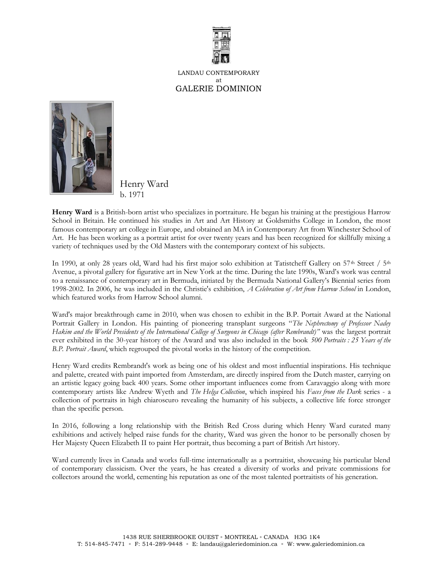

LANDAU CONTEMPORARY at GALERIE DOMINION



Henry Ward b. 1971

**Henry Ward** is a British-born artist who specializes in portraiture. He began his training at the prestigious Harrow School in Britain. He continued his studies in Art and Art History at Goldsmiths College in London, the most famous contemporary art college in Europe, and obtained an MA in Contemporary Art from Winchester School of Art. He has been working as a portrait artist for over twenty years and has been recognized for skillfully mixing a variety of techniques used by the Old Masters with the contemporary context of his subjects.

In 1990, at only 28 years old, Ward had his first major solo exhibition at Tatistcheff Gallery on 57<sup>th</sup> Street / 5<sup>th</sup> Avenue, a pivotal gallery for figurative art in New York at the time. During the late 1990s, Ward's work was central to a renaissance of contemporary art in Bermuda, initiated by the Bermuda National Gallery's Biennial series from 1998-2002. In 2006, he was included in the Christie's exhibition, *A Celebration of Art from Harrow School* in London, which featured works from Harrow School alumni.

Ward's major breakthrough came in 2010, when was chosen to exhibit in the B.P. Portait Award at the National Portrait Gallery in London. His painting of pioneering transplant surgeons "*The Nephrectomy of Professor Nadey Hakim and the World Presidents of the International College of Surgeons in Chicago (after Rembrandt)"* was the largest portrait ever exhibited in the 30-year history of the Award and was also included in the book *500 Portraits : 25 Years of the B.P. Portrait Award*, which regrouped the pivotal works in the history of the competition.

Henry Ward credits Rembrandt's work as being one of his oldest and most influential inspirations. His technique and palette, created with paint imported from Amsterdam, are directly inspired from the Dutch master, carrying on an artistic legacy going back 400 years. Some other important influences come from Caravaggio along with more contemporary artists like Andrew Wyeth and *The Helga Collection*, which inspired his *Faces from the Dark* series - a collection of portraits in high chiaroscuro revealing the humanity of his subjects, a collective life force stronger than the specific person.

In 2016, following a long relationship with the British Red Cross during which Henry Ward curated many exhibitions and actively helped raise funds for the charity, Ward was given the honor to be personally chosen by Her Majesty Queen Elizabeth II to paint Her portrait, thus becoming a part of British Art history.

Ward currently lives in Canada and works full-time internationally as a portraitist, showcasing his particular blend of contemporary classicism. Over the years, he has created a diversity of works and private commissions for collectors around the world, cementing his reputation as one of the most talented portraitists of his generation.